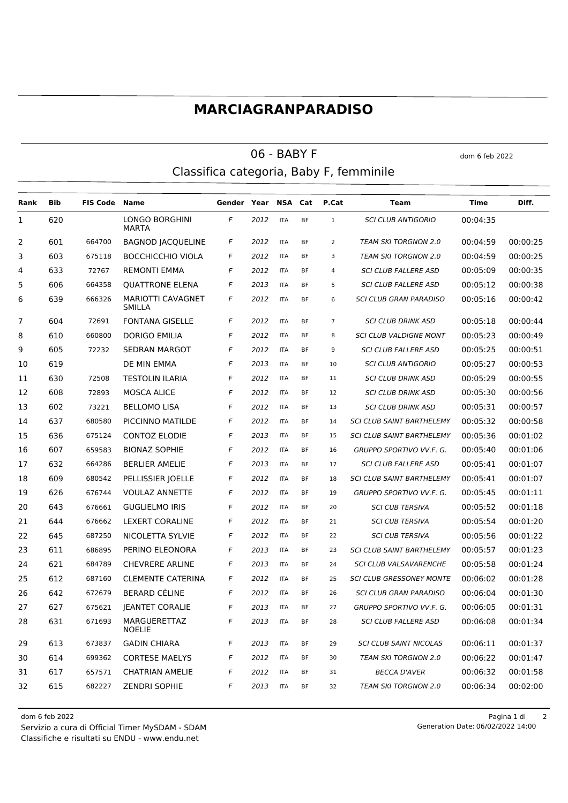## **MARCIAGRANPARADISO**

## $06 - BABY F$  dom 6 feb 2022 Classifica categoria, Baby F, femminile

**Rank Bib FIS Code Name Gender Year NSA Cat P.Cat Team Time Diff.** LONGO BORGHINI **MARTA**  *F 2012* ITA BF 1 *SCI CLUB ANTIGORIO* 00:04:35 601 664700 BAGNOD JACQUELINE *F 2012* ITA BF 2 *TEAM SKI TORGNON 2.0* 00:04:59 00:00:25 603 675118 BOCCHICCHIO VIOLA *F 2012* ITA BF 3 *TEAM SKI TORGNON 2.0* 00:04:59 00:00:25 633 72767 REMONTI EMMA *F 2012* ITA BF 4 *SCI CLUB FALLERE ASD* 00:05:09 00:00:35 606 664358 QUATTRONE ELENA *F 2013* ITA BF 5 *SCI CLUB FALLERE ASD* 00:05:12 00:00:38 MARIOTTI CAVAGNET SMILLA 666326 *F 2012* ITA BF 6 *SCI CLUB GRAN PARADISO* 00:05:16 00:00:42 604 72691 FONTANA GISELLE *F 2012* ITA BF 7 *SCI CLUB DRINK ASD* 00:05:18 00:00:44 610 660800 DORIGO EMILIA *F 2012* ITA BF 8 *SCI CLUB VALDIGNE MONT* 00:05:23 00:00:49 605 72232 SEDRAN MARGOT *F 2012* ITA BF 9 *SCI CLUB FALLERE ASD* 00:05:25 00:00:51 619 DE MIN EMMA *F 2013* ITA BF 10 *SCI CLUB ANTIGORIO* 00:05:27 00:00:53 630 72508 TESTOLIN ILARIA *F 2012* ITA BF 11 *SCI CLUB DRINK ASD* 00:05:29 00:00:55 608 72893 MOSCA ALICE *F 2012* ITA BF 12 *SCI CLUB DRINK ASD* 00:05:30 00:00:56 602 73221 BELLOMO LISA *F 2012* ITA BF 13 *SCI CLUB DRINK ASD* 00:05:31 00:00:57 637 680580 PICCINNO MATILDE *F 2012* ITA BF 14 *SCI CLUB SAINT BARTHELEMY* 00:05:32 00:00:58 636 675124 CONTOZ ELODIE *F 2013* ITA BF 15 *SCI CLUB SAINT BARTHELEMY* 00:05:36 00:01:02 607 659583 BIONAZ SOPHIE *F 2012* ITA BF 16 *GRUPPO SPORTIVO VV.F. G.* 00:05:40 00:01:06 632 664286 BERLIER AMELIE *F 2013* ITA BF 17 *SCI CLUB FALLERE ASD* 00:05:41 00:01:07 609 680542 PELLISSIER JOELLE *F 2012* ITA BF 18 *SCI CLUB SAINT BARTHELEMY* 00:05:41 00:01:07 626 676744 VOULAZ ANNETTE *F 2012* ITA BF 19 *GRUPPO SPORTIVO VV.F. G.* 00:05:45 00:01:11 643 676661 GUGLIELMO IRIS *F 2012* ITA BF 20 *SCI CUB TERSIVA* 00:05:52 00:01:18 644 676662 LEXERT CORALINE *F 2012* ITA BF 21 *SCI CUB TERSIVA* 00:05:54 00:01:20 645 687250 NICOLETTA SYLVIE *F 2012* ITA BF 22 *SCI CUB TERSIVA* 00:05:56 00:01:22 611 686895 PERINO ELEONORA *F 2013* ITA BF 23 *SCI CLUB SAINT BARTHELEMY* 00:05:57 00:01:23 621 684789 CHEVRERE ARLINE *F 2013* ITA BF 24 *SCI CLUB VALSAVARENCHE* 00:05:58 00:01:24 612 687160 CLEMENTE CATERINA *F 2012* ITA BF 25 *SCI CLUB GRESSONEY MONTE* 00:06:02 00:01:28 642 672679 BERARD CÉLINE *F 2012* ITA BF 26 *SCI CLUB GRAN PARADISO* 00:06:04 00:01:30 627 675621 JEANTET CORALIE *F 2013* ITA BF 27 *GRUPPO SPORTIVO VV.F. G.* 00:06:05 00:01:31 MARGUERETTAZ NOELIE 671693 *F 2013* ITA BF 28 *SCI CLUB FALLERE ASD* 00:06:08 00:01:34 613 673837 GADIN CHIARA *F 2013* ITA BF 29 *SCI CLUB SAINT NICOLAS* 00:06:11 00:01:37 614 699362 CORTESE MAELYS *F 2012* ITA BF 30 *TEAM SKI TORGNON 2.0* 00:06:22 00:01:47 617 657571 CHATRIAN AMELIE *F 2012* ITA BF 31 *BECCA D'AVER* 00:06:32 00:01:58 615 682227 ZENDRI SOPHIE *F 2013* ITA BF 32 *TEAM SKI TORGNON 2.0* 00:06:34 00:02:00

Classifiche e risultati su ENDU - www.endu.net Servizio a cura di Official Timer MySDAM - SDAM dom 6 feb 2022 Pagina 1 di 2

Generation Date: 06/02/2022 14:00